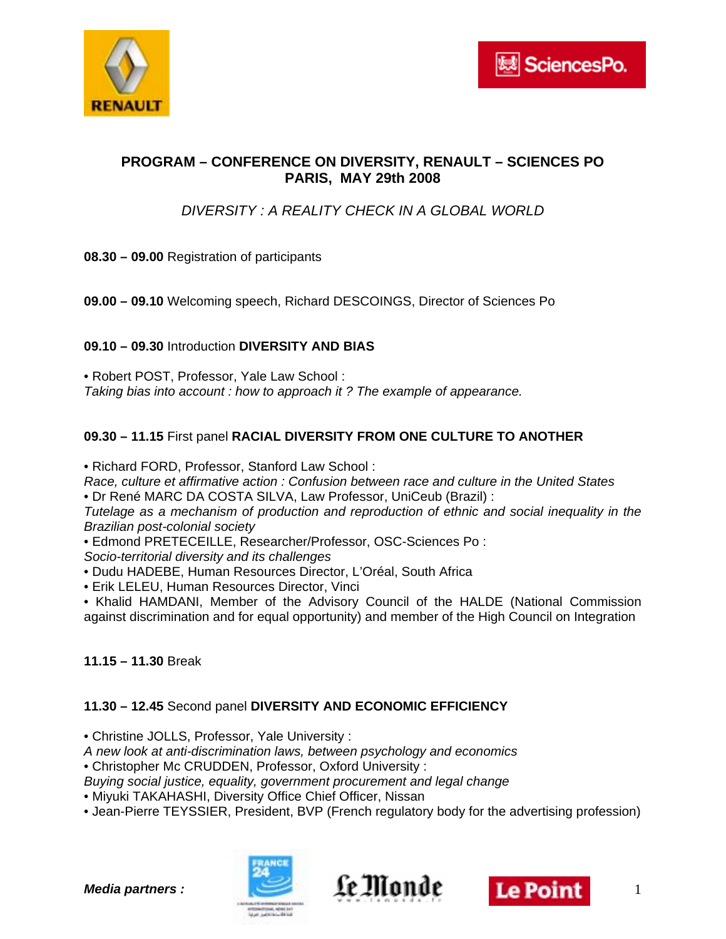

## **PROGRAM – CONFERENCE ON DIVERSITY, RENAULT – SCIENCES PO PARIS, MAY 29th 2008**

# *DIVERSITY : A REALITY CHECK IN A GLOBAL WORLD*

- **08.30 09.00** Registration of participants
- **09.00 09.10** Welcoming speech, Richard DESCOINGS, Director of Sciences Po

### **09.10 – 09.30** Introduction **DIVERSITY AND BIAS**

• Robert POST, Professor, Yale Law School : *Taking bias into account : how to approach it ? The example of appearance.* 

## **09.30 – 11.15** First panel **RACIAL DIVERSITY FROM ONE CULTURE TO ANOTHER**

• Richard FORD, Professor, Stanford Law School :

*Race, culture et affirmative action : Confusion between race and culture in the United States*  • Dr René MARC DA COSTA SILVA, Law Professor, UniCeub (Brazil) :

*Tutelage as a mechanism of production and reproduction of ethnic and social inequality in the Brazilian post-colonial society* 

• Edmond PRETECEILLE, Researcher/Professor, OSC-Sciences Po :

*Socio-territorial diversity and its challenges* 

• Dudu HADEBE, Human Resources Director, L'Oréal, South Africa

• Erik LELEU, Human Resources Director, Vinci

• Khalid HAMDANI, Member of the Advisory Council of the HALDE (National Commission against discrimination and for equal opportunity) and member of the High Council on Integration

### **11.15 – 11.30** Break

### **11.30 – 12.45** Second panel **DIVERSITY AND ECONOMIC EFFICIENCY**

• Christine JOLLS, Professor, Yale University :

*A new look at anti-discrimination laws, between psychology and economics* 

• Christopher Mc CRUDDEN, Professor, Oxford University :

*Buying social justice, equality, government procurement and legal change* 

• Miyuki TAKAHASHI, Diversity Office Chief Officer, Nissan

• Jean-Pierre TEYSSIER, President, BVP (French regulatory body for the advertising profession)